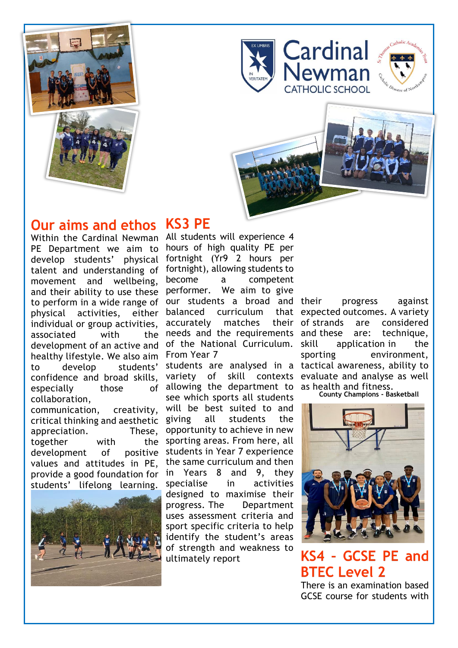









## **Our aims and ethos**

Within the Cardinal Newman PE Department we aim to develop students' physical talent and understanding of movement and wellbeing, and their ability to use these to perform in a wide range of physical activities, either individual or group activities, associated with the development of an active and healthy lifestyle. We also aim to develop students' confidence and broad skills, especially those of collaboration,

communication, creativity, critical thinking and aesthetic appreciation. These, together with the development of positive values and attitudes in PE, provide a good foundation for students' lifelong learning.



# **KS3 PE**

All students will experience 4 hours of high quality PE per fortnight (Yr9 2 hours per fortnight), allowing students to become a competent performer. We aim to give our students a broad and balanced curriculum accurately matches their needs and the requirements and these are: technique, of the National Curriculum. From Year 7

students are analysed in a tactical awareness, ability to variety of skill contexts evaluate and analyse as well allowing the department to as health and fitness. see which sports all students will be best suited to and giving all students the opportunity to achieve in new sporting areas. From here, all students in Year 7 experience the same curriculum and then in Years 8 and 9, they specialise in activities designed to maximise their progress. The Department uses assessment criteria and sport specific criteria to help identify the student's areas of strength and weakness to ultimately report

progress against that expected outcomes. A variety are considered application in the sporting environment,

**County Champions - Basketball**



## KS4 - GCSE PE and **BTEC Level 2**

There is an examination based GCSE course for students with